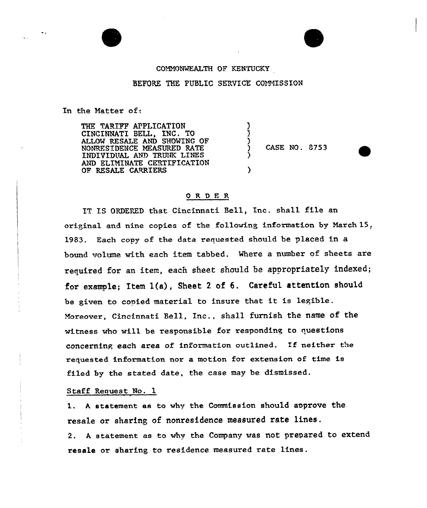## COMMONWEALTH OF KENTUCKY

## BEFORE THE PUBLIC SERVICE COMMISSION

) ) )

 $\mathbf{\dot{}}$ 

In the Natter of.

THE TARIFF APPLICATIQN CINCINNATI BELL, INC. TO ALLOW RESALE AND SHOWING OF NONRES'IDENCE MEASURED RATE INDIVIDUAL AND TRUNK LINES AND ELIMINATE CERTIFICATION OF RESALE CARRIERS

) CASE NO . 8753

## ORDER

IT IS ORDERED that Cincinnati Bell, Inc. shall file an original and nine copies of the following information by March 15, 1983. Each copy of the data requested should be placed in a bound volume with each item tabbed. Where a number of sheets are required for an item, each sheet should be appropriately indexed; for example; Item 1(a), Sheet <sup>2</sup> of 6. Careful attention should be given to copied material to insure that it is legible. Moreover, Cincinnati Bell, Inc., shall furnish the name of the witness who will be responsible for responding to questions concerninp each area of information outlined. Ef neither the requested information nor a motion for extension of time is filed by the stated date, the case may be dismissed,

Staff Request No. 1

l. <sup>A</sup> statement as to why the Commission should approve the resale or sharing of nonresidence measured rate lines. 2. <sup>A</sup> statement as to why the Company was not prepared to extend resale or sharing to residence measured rate lines.